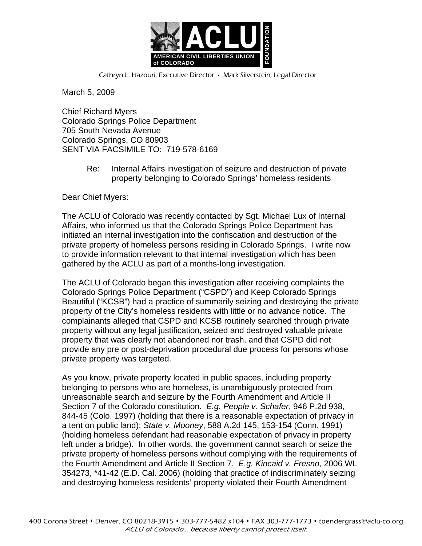

Cathryn L. Hazouri, Executive Director • Mark Silverstein, Legal Director

March 5, 2009

Chief Richard Myers Colorado Springs Police Department 705 South Nevada Avenue Colorado Springs, CO 80903 SENT VIA FACSIMILE TO: 719-578-6169

> Re: Internal Affairs investigation of seizure and destruction of private property belonging to Colorado Springs' homeless residents

Dear Chief Myers:

The ACLU of Colorado was recently contacted by Sgt. Michael Lux of Internal Affairs, who informed us that the Colorado Springs Police Department has initiated an internal investigation into the confiscation and destruction of the private property of homeless persons residing in Colorado Springs. I write now to provide information relevant to that internal investigation which has been gathered by the ACLU as part of a months-long investigation.

The ACLU of Colorado began this investigation after receiving complaints the Colorado Springs Police Department ("CSPD") and Keep Colorado Springs Beautiful ("KCSB") had a practice of summarily seizing and destroying the private property of the City's homeless residents with little or no advance notice. The complainants alleged that CSPD and KCSB routinely searched through private property without any legal justification, seized and destroyed valuable private property that was clearly not abandoned nor trash, and that CSPD did not provide any pre or post-deprivation procedural due process for persons whose private property was targeted.

As you know, private property located in public spaces, including property belonging to persons who are homeless, is unambiguously protected from unreasonable search and seizure by the Fourth Amendment and Article II Section 7 of the Colorado constitution. *E.g. People v. Schafer*, 946 P.2d 938, 844-45 (Colo. 1997) (holding that there is a reasonable expectation of privacy in a tent on public land); *State v. Mooney*, 588 A.2d 145, 153-154 (Conn. 1991) (holding homeless defendant had reasonable expectation of privacy in property left under a bridge). In other words, the government cannot search or seize the private property of homeless persons without complying with the requirements of the Fourth Amendment and Article II Section 7. *E.g. Kincaid v. Fresno,* 2006 WL 354273, \*41-42 (E.D. Cal. 2006) (holding that practice of indiscriminately seizing and destroying homeless residents' property violated their Fourth Amendment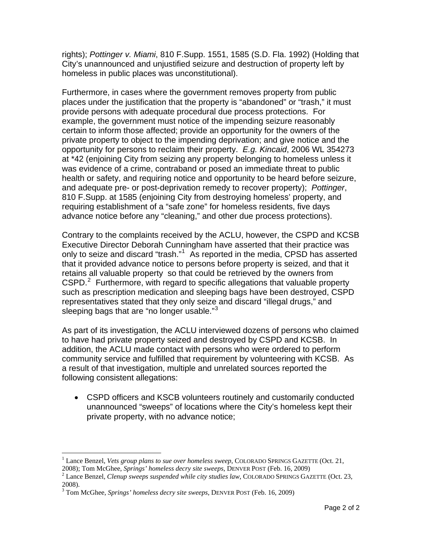rights); *Pottinger v. Miami*, 810 F.Supp. 1551, 1585 (S.D. Fla. 1992) (Holding that City's unannounced and unjustified seizure and destruction of property left by homeless in public places was unconstitutional).

Furthermore, in cases where the government removes property from public places under the justification that the property is "abandoned" or "trash," it must provide persons with adequate procedural due process protections. For example, the government must notice of the impending seizure reasonably certain to inform those affected; provide an opportunity for the owners of the private property to object to the impending deprivation; and give notice and the opportunity for persons to reclaim their property. *E.g. Kincaid*, 2006 WL 354273 at \*42 (enjoining City from seizing any property belonging to homeless unless it was evidence of a crime, contraband or posed an immediate threat to public health or safety, and requiring notice and opportunity to be heard before seizure, and adequate pre- or post-deprivation remedy to recover property); *Pottinger*, 810 F.Supp. at 1585 (enjoining City from destroying homeless' property, and requiring establishment of a "safe zone" for homeless residents, five days advance notice before any "cleaning," and other due process protections).

Contrary to the complaints received by the ACLU, however, the CSPD and KCSB Executive Director Deborah Cunningham have asserted that their practice was only to seize and discard "trash."<sup>[1](#page-1-0)</sup> As reported in the media, CPSD has asserted that it provided advance notice to persons before property is seized, and that it retains all valuable property so that could be retrieved by the owners from  $CSPD.<sup>2</sup>$  $CSPD.<sup>2</sup>$  $CSPD.<sup>2</sup>$  Furthermore, with regard to specific allegations that valuable property such as prescription medication and sleeping bags have been destroyed, CSPD representatives stated that they only seize and discard "illegal drugs," and sleeping bags that are "no longer usable." $3$ 

As part of its investigation, the ACLU interviewed dozens of persons who claimed to have had private property seized and destroyed by CSPD and KCSB. In addition, the ACLU made contact with persons who were ordered to perform community service and fulfilled that requirement by volunteering with KCSB. As a result of that investigation, multiple and unrelated sources reported the following consistent allegations:

• CSPD officers and KSCB volunteers routinely and customarily conducted unannounced "sweeps" of locations where the City's homeless kept their private property, with no advance notice;

1

<span id="page-1-0"></span><sup>&</sup>lt;sup>1</sup> Lance Benzel, *Vets group plans to sue over homeless sweep*, COLORADO SPRINGS GAZETTE (Oct. 21,

<span id="page-1-1"></span><sup>2008);</sup> Tom McGhee, *Springs' homeless decry site sweeps*, DENVER POST (Feb. 16, 2009) 2 Lance Benzel*, Clenup sweeps suspended while city studies law*, COLORADO SPRINGS GAZETTE (Oct. 23, 2008).

<span id="page-1-2"></span><sup>3</sup> Tom McGhee, *Springs' homeless decry site sweeps*, DENVER POST (Feb. 16, 2009)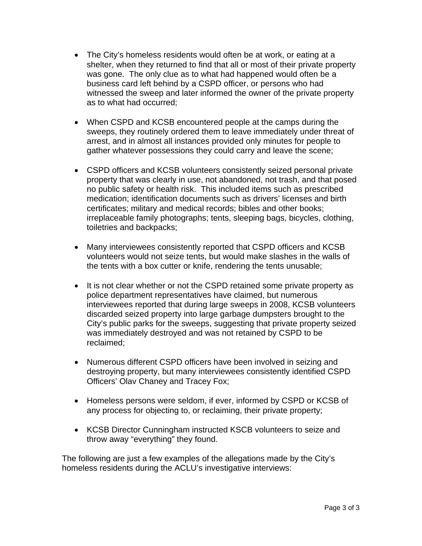- The City's homeless residents would often be at work, or eating at a shelter, when they returned to find that all or most of their private property was gone. The only clue as to what had happened would often be a business card left behind by a CSPD officer, or persons who had witnessed the sweep and later informed the owner of the private property as to what had occurred;
- When CSPD and KCSB encountered people at the camps during the sweeps, they routinely ordered them to leave immediately under threat of arrest, and in almost all instances provided only minutes for people to gather whatever possessions they could carry and leave the scene;
- CSPD officers and KCSB volunteers consistently seized personal private property that was clearly in use, not abandoned, not trash, and that posed no public safety or health risk. This included items such as prescribed medication; identification documents such as drivers' licenses and birth certificates; military and medical records; bibles and other books; irreplaceable family photographs; tents, sleeping bags, bicycles, clothing, toiletries and backpacks;
- Many interviewees consistently reported that CSPD officers and KCSB volunteers would not seize tents, but would make slashes in the walls of the tents with a box cutter or knife, rendering the tents unusable;
- It is not clear whether or not the CSPD retained some private property as police department representatives have claimed, but numerous interviewees reported that during large sweeps in 2008, KCSB volunteers discarded seized property into large garbage dumpsters brought to the City's public parks for the sweeps, suggesting that private property seized was immediately destroyed and was not retained by CSPD to be reclaimed;
- Numerous different CSPD officers have been involved in seizing and destroying property, but many interviewees consistently identified CSPD Officers' Olav Chaney and Tracey Fox;
- Homeless persons were seldom, if ever, informed by CSPD or KCSB of any process for objecting to, or reclaiming, their private property;
- KCSB Director Cunningham instructed KSCB volunteers to seize and throw away "everything" they found.

The following are just a few examples of the allegations made by the City's homeless residents during the ACLU's investigative interviews: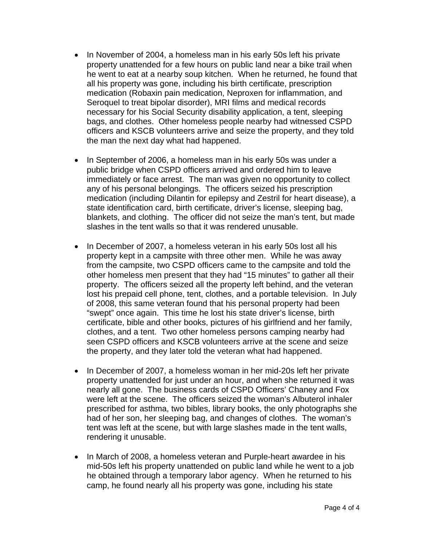- In November of 2004, a homeless man in his early 50s left his private property unattended for a few hours on public land near a bike trail when he went to eat at a nearby soup kitchen. When he returned, he found that all his property was gone, including his birth certificate, prescription medication (Robaxin pain medication, Neproxen for inflammation, and Seroquel to treat bipolar disorder), MRI films and medical records necessary for his Social Security disability application, a tent, sleeping bags, and clothes. Other homeless people nearby had witnessed CSPD officers and KSCB volunteers arrive and seize the property, and they told the man the next day what had happened.
- In September of 2006, a homeless man in his early 50s was under a public bridge when CSPD officers arrived and ordered him to leave immediately or face arrest. The man was given no opportunity to collect any of his personal belongings. The officers seized his prescription medication (including Dilantin for epilepsy and Zestril for heart disease), a state identification card, birth certificate, driver's license, sleeping bag, blankets, and clothing. The officer did not seize the man's tent, but made slashes in the tent walls so that it was rendered unusable.
- In December of 2007, a homeless veteran in his early 50s lost all his property kept in a campsite with three other men. While he was away from the campsite, two CSPD officers came to the campsite and told the other homeless men present that they had "15 minutes" to gather all their property. The officers seized all the property left behind, and the veteran lost his prepaid cell phone, tent, clothes, and a portable television. In July of 2008, this same veteran found that his personal property had been "swept" once again. This time he lost his state driver's license, birth certificate, bible and other books, pictures of his girlfriend and her family, clothes, and a tent. Two other homeless persons camping nearby had seen CSPD officers and KSCB volunteers arrive at the scene and seize the property, and they later told the veteran what had happened.
- In December of 2007, a homeless woman in her mid-20s left her private property unattended for just under an hour, and when she returned it was nearly all gone. The business cards of CSPD Officers' Chaney and Fox were left at the scene. The officers seized the woman's Albuterol inhaler prescribed for asthma, two bibles, library books, the only photographs she had of her son, her sleeping bag, and changes of clothes. The woman's tent was left at the scene, but with large slashes made in the tent walls, rendering it unusable.
- In March of 2008, a homeless veteran and Purple-heart awardee in his mid-50s left his property unattended on public land while he went to a job he obtained through a temporary labor agency. When he returned to his camp, he found nearly all his property was gone, including his state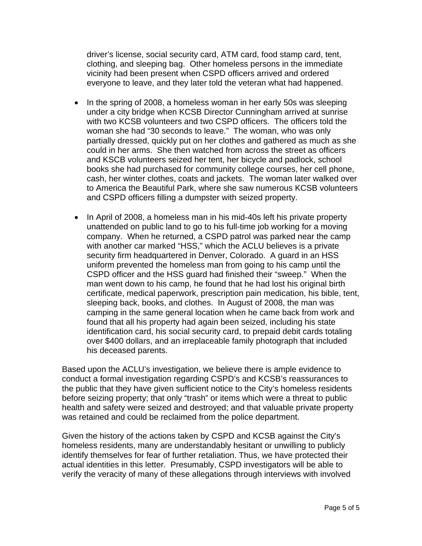driver's license, social security card, ATM card, food stamp card, tent, clothing, and sleeping bag. Other homeless persons in the immediate vicinity had been present when CSPD officers arrived and ordered everyone to leave, and they later told the veteran what had happened.

- In the spring of 2008, a homeless woman in her early 50s was sleeping under a city bridge when KCSB Director Cunningham arrived at sunrise with two KCSB volunteers and two CSPD officers. The officers told the woman she had "30 seconds to leave." The woman, who was only partially dressed, quickly put on her clothes and gathered as much as she could in her arms. She then watched from across the street as officers and KSCB volunteers seized her tent, her bicycle and padlock, school books she had purchased for community college courses, her cell phone, cash, her winter clothes, coats and jackets. The woman later walked over to America the Beautiful Park, where she saw numerous KCSB volunteers and CSPD officers filling a dumpster with seized property.
- In April of 2008, a homeless man in his mid-40s left his private property unattended on public land to go to his full-time job working for a moving company. When he returned, a CSPD patrol was parked near the camp with another car marked "HSS," which the ACLU believes is a private security firm headquartered in Denver, Colorado. A guard in an HSS uniform prevented the homeless man from going to his camp until the CSPD officer and the HSS guard had finished their "sweep." When the man went down to his camp, he found that he had lost his original birth certificate, medical paperwork, prescription pain medication, his bible, tent, sleeping back, books, and clothes. In August of 2008, the man was camping in the same general location when he came back from work and found that all his property had again been seized, including his state identification card, his social security card, to prepaid debit cards totaling over \$400 dollars, and an irreplaceable family photograph that included his deceased parents.

Based upon the ACLU's investigation, we believe there is ample evidence to conduct a formal investigation regarding CSPD's and KCSB's reassurances to the public that they have given sufficient notice to the City's homeless residents before seizing property; that only "trash" or items which were a threat to public health and safety were seized and destroyed; and that valuable private property was retained and could be reclaimed from the police department.

Given the history of the actions taken by CSPD and KCSB against the City's homeless residents, many are understandably hesitant or unwilling to publicly identify themselves for fear of further retaliation. Thus, we have protected their actual identities in this letter. Presumably, CSPD investigators will be able to verify the veracity of many of these allegations through interviews with involved